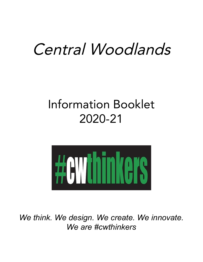# Central Woodlands

## Information Booklet 2020-21



*We think. We design. We create. We innovate. We are #cwthinkers*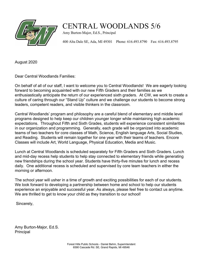

## CENTRAL WOODLANDS 5/6

Amy Burton-Major, Ed.S., Principal

400 Alta Dale SE, Ada, MI 49301 Phone: 616.493.8790 Fax: 616.493.8795

August 2020

Dear Central Woodlands Families:

On behalf of all of our staff, I want to welcome you to Central Woodlands! We are eagerly looking forward to becoming acquainted with our new Fifth Graders and their families as we enthusiastically anticipate the return of our experienced sixth graders. At CW, we work to create a culture of caring through our "Stand Up" culture and we challenge our students to become strong leaders, competent readers, and visible thinkers in the classroom.

Central Woodlands' program and philosophy are a careful blend of elementary and middle level programs designed to help keep our children younger longer while maintaining high academic expectations. Throughout Fifth and Sixth Grades, students will experience consistent similarities in our organization and programming. Generally, each grade will be organized into academic teams of two teachers for core classes of Math, Science, English language Arts, Social Studies, and Reading. Students will remain together for one year with their teams of teachers. Encore Classes will include Art, World Language, Physical Education, Media and Music.

Lunch at Central Woodlands is scheduled separately for Fifth Graders and Sixth Graders. Lunch and mid-day recess help students to help stay connected to elementary friends while generating new friendships during the school year. Students have thirty-five minutes for lunch and recess daily. One additional recess is scheduled and supervised by core team teachers in either the morning or afternoon.

The school year will usher in a time of growth and exciting possibilities for each of our students. We look forward to developing a partnership between home and school to help our students experience an enjoyable and successful year. As always, please feel free to contact us anytime. We are thrilled to get to know your child as they transition to our school!

Sincerely,

Amy Burton-Major, Ed.S. Principal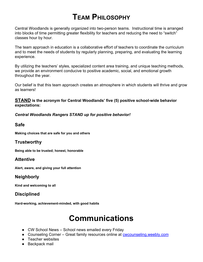## **TEAM PHILOSOPHY**

Central Woodlands is generally organized into two-person teams. Instructional time is arranged into blocks of time permitting greater flexibility for teachers and reducing the need to "switch" classes hour by hour.

The team approach in education is a collaborative effort of teachers to coordinate the curriculum and to meet the needs of students by regularly planning, preparing, and evaluating the learning experience.

By utilizing the teachers' styles, specialized content area training, and unique teaching methods, we provide an environment conducive to positive academic, social, and emotional growth throughout the year.

 Our belief is that this team approach creates an atmosphere in which students will thrive and grow as learners!

#### **STAND is the acronym for Central Woodlands' five (5) positive school-wide behavior expectations:**

*Central Woodlands Rangers STAND up for positive behavior!*

## **Safe**

 **Making choices that are safe for you and others**

## **Trustworthy**

 **Being able to be trusted; honest, honorable**

## **Attentive**

 **Alert, aware, and giving your full attention**

## **Neighborly**

 **Kind and welcoming to all**

## **Disciplined**

 **Hard-working, achievement-minded, with good habits**

## **Communications**

- CW School News School news emailed every Friday
- Counseling Corner Great family resources online at [cwcounseling.weebly.com](http://cwcounseling.weebly.com/)
- Teacher websites
- Backpack mail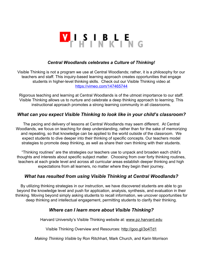

#### *Central Woodlands celebrates a Culture of Thinking!*

Visible Thinking is not a program we use at Central Woodlands; rather, it is a philosophy for our teachers and staff. This inquiry-based learning approach creates opportunities that engage students in higher-level thinking skills. Check out our Visible Thinking video at <https://vimeo.com/147465744>

Rigorous teaching and learning at Central Woodlands is of the utmost importance to our staff. Visible Thinking allows us to nurture and celebrate a deep thinking approach to learning. This instructional approach promotes a strong learning community in all classrooms.

## *What can you expect Visible Thinking to look like in your child's classroom?*

The pacing and delivery of lessons at Central Woodlands may seem different. At Central Woodlands, we focus on teaching for deep understanding, rather than for the sake of memorizing and repeating, so that knowledge can be applied to the world outside of the classroom. We expect students to dive deeper into their thinking of specific concepts. Our teachers model strategies to promote deep thinking, as well as share their own thinking with their students.

"Thinking routines" are the strategies our teachers use to unpack and broaden each child's thoughts and interests about specific subject matter. Choosing from over forty thinking routines, teachers at each grade level and across all curricular areas establish deeper thinking and high expectations from all learners, no matter where they begin their journey.

## *What has resulted from using Visible Thinking at Central Woodlands?*

By utilizing thinking strategies in our instruction, we have discovered students are able to go beyond the knowledge level and push for application, analysis, synthesis, and evaluation in their thinking. Moving beyond simply asking students to recall information, we uncover opportunities for deep thinking and intellectual engagement, permitting students to clarify their thinking.

## *Where can I learn more about Visible Thinking?*

Harvard University's Visible Thinking website at: [www.pz.harvard.edu](http://www.pz.harvard.edu/)

Visible Thinking Overview and Resources: <http://goo.gl/3o4Td1>

*Making Thinking Visible* by Ron Ritchhart, Mark Church, and Karin Morrison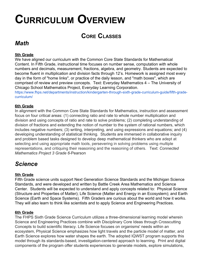## **CURRICULUM OVERVIEW**

## **CORE CLASSES**

## *Math*

#### **5th Grade**

We have aligned our curriculum with the Common Core State Standards for Mathematical Content. In Fifth Grade, instructional time focuses on number sense, computation with whole numbers and decimals, measurement, fractions, algebra, and geometry. Students are expected to become fluent in multiplication and division facts through 12's. Homework is assigned most every day in the form of "home links", or practice of the daily lesson, and "math boxes", which are comprised of review and preview concepts. Text: Everyday Mathematics 4 – The University of Chicago School Mathematics Project, Everyday Learning Corporation.

[https://www.fhps.net/departments/instruction/kindergarten-through-sixth-grade-curriculum-guide/fifth-grade](https://www.fhps.net/departments/instruction/kindergarten-through-sixth-grade-curriculum-guide/fifth-grade-curriculum/)[curriculum/](https://www.fhps.net/departments/instruction/kindergarten-through-sixth-grade-curriculum-guide/fifth-grade-curriculum/)

#### **6th Grade**

In alignment with the Common Core State Standards for Mathematics, instruction and assessment focus on four critical areas: (1) connecting ratio and rate to whole number multiplication and division and using concepts of ratio and rate to solve problems; (2) completing understanding of division of fractions and extending the notion of number to the system of rational numbers, which includes negative numbers; (3) writing, interpreting, and using expressions and equations; and (4) developing understanding of statistical thinking. Students are immersed in collaborative inquiry and problem based tasks designed to develop deep mathematical thinkers who are adept at selecting and using appropriate math tools, persevering in solving problems using multiple representations, and critiquing their reasoning and the reasoning of others. Text: *Connected Mathematics Project 3 Grade 6*-Pearson

## *Science*

#### **5th Grade**

Fifth Grade science units support Next Generation Science Standards and the Michigan Science Standards, and were developed and written by Battle Creek Area Mathematics and Science Center. Students will be expected to understand and apply concepts related to: Physical Science (Structure and Properties of Matter); Life Science (Matter and Energy in an Ecosystem); and Earth Science (Earth and Space Systems). Fifth Graders are curious about the world and how it works. They will also learn to think like scientists and to apply Science and Engineering Practices.

#### **6th Grade**

The FHPS Sixth Grade Science Curriculum utilizes a three-dimensional learning model wherein Science and Engineering Practices combine with Disciplinary Core Ideas through Crosscutting Concepts to build scientific literacy. Life Science focuses on organisms' needs within an ecosystem, Physical Science emphasizes how light travels and the particle model of matter, and Earth Science explores how water shapes the earth. The adopted IQWST program supports this model through its standards-based, investigation-centered approach to learning. Print and digital components of the program offer students experiences to generate models, explore simulations,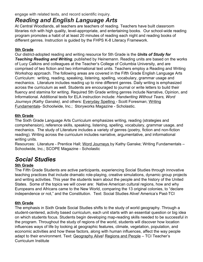engage with related texts, and record scientific inquiry.

## *Reading and English Language Arts*

At Central Woodlands, all teachers are teachers of reading. Teachers have built classroom libraries rich with high quality, level-appropriate, and entertaining books. Our school-wide reading program promotes a habit of at least 20 minutes of reading each night and reading books of different genres. Instruction is guided by the FHPS K-8 Literacy Framework.

## **5th Grade**

Our district-adopted reading and writing resource for 5th Grade is the *Units of Study for Teaching Reading and Writing*, published by Heinemann. Reading units are based on the works of Lucy Calkins and colleagues at the Teacher's College of Columbia University, and are comprised of two fiction and two informational text units. Teachers employ a Reading and Writing Workshop approach. The following areas are covered in the Fifth Grade English Language Arts Curriculum: writing, reading, speaking, listening, spelling, vocabulary, grammar usage and mechanics. Literature includes reading up to nine different genres. Daily writing is emphasized across the curriculum as well. Students are encouraged to journal or write letters to build their fluency and stamina for writing. Required 5th Grade writing genres include Narrative, Opinion, and Informational. Additional texts for ELA instruction include: *Handwriting Without Tears, Word Journeys (Kathy Ganske),* and others: Everyday Spelling - Scott Foresman; Writing Fundamentals- Schoolwide, Inc.; Storyworks Magazine - Scholastic.

#### **6th Grade**

The Sixth Grade Language Arts Curriculum emphasizes writing, reading (strategies and comprehension), reference skills, speaking, listening, spelling, vocabulary, grammar usage, and mechanics. The study of Literature includes a variety of genres (poetry, fiction and non-fiction reading). Writing across the curriculum includes narrative, argumentative, and informational writing units.

Resources: Literature - Prentice Hall; Word Journeys by Kathy Ganske; Writing Fundamentals – Schoolwide, Inc.; SCOPE Magazine - Scholastic

## *Social Studies*

#### **5th Grade**

The Fifth Grade Students are active participants, experiencing Social Studies through innovative teaching practices that include dramatic role-playing, creative simulations, dynamic group projects and writing activities. This year the students learn about the people and the history of the United States. Some of the topics we will cover are: Native American cultural regions, how and why Europeans and Africans came to the New World, comparing the 13 original colonies, to "declare independence or not," and the Constitution. Text: Social Studies Alive! America's Past-TCI

#### **6th Grade**

adapt to their environment. Text: <u>Geography Alive! Regions and People</u> – TCI Teacher's The emphasis in Sixth Grade Social Studies shifts to the study of world geography. Through a student-centered, activity based curriculum, each unit starts with an essential question or big idea on which students focus. Students begin developing map-reading skills needed to be successful in the program. Throughout the study of regions of the world, students will discover how location influences ways of life by looking at geographic features, climate, vegetation, population, and economic activities and how these factors, along with human influences, affect the way people Curriculum Institute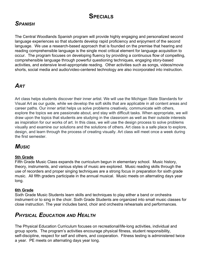## **SPECIALS**

## *SPANISH*

The Central Woodlands Spanish program will provide highly engaging and personalized second language experiences so that students develop rapid proficiency and enjoyment of the second language. We use a research-based approach that is founded on the premise that hearing and reading comprehensible language is the single most critical element for language acquisition to occur. The program focuses on developing fluency by providing a continuous flow of compelling, comprehensible language through powerful questioning techniques, engaging story-based activities, and extensive level-appropriate reading. Other activities such as songs, videos/movie shorts, social media and audio/video-centered technology are also incorporated into instruction.

## *ART*

Art class helps students discover their inner artist. We will use the Michigan State Standards for Visual Art as our guide, while we develop the soft skills that are applicable in all content areas and career paths. Our inner artist helps us solve problems creatively, communicate with others, explore the topics we are passionate about, and stay with difficult tasks. When appropriate, we will draw upon the topics that students are studying in the classroom as well as their outside interests as inspiration for our works of art. In this class, we will use the design process to solve problems visually and examine our solutions and the solutions of others. Art class is a safe place to explore, design, and learn through the process of creating visually. Art class will meet once a week during the first semester.

## *MUSIC*

#### **5th Grade**

Fifth Grade Music Class expands the curriculum begun in elementary school. Music history, theory, instruments, and various styles of music are explored. Music reading skills through the use of recorders and proper singing techniques are a strong focus in preparation for sixth grade music. All fifth graders participate in the annual musical. Music meets on alternating days year long.

#### **6th Grade**

Sixth Grade Music Students learn skills and techniques to play either a band or orchestra instrument or to sing in the choir. Sixth Grade Students are organized into small music classes for close instruction. The year includes band, choir and orchestra rehearsals and performances.

## *PHYSICAL EDUCATION AND HEALTH*

The Physical Education Curriculum focuses on recreational/life-long activities, individual and group sports. The program's activities encourage physical fitness, student responsibility, self-discipline, respect for self and others, and cooperation. Fitness testing is administered twice a year. PE meets on alternating days year long.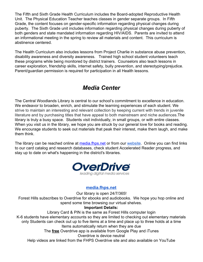The Fifth and Sixth Grade Health Curriculum includes the Board-adopted Reproductive Health Unit. The Physical Education Teacher teaches classes in gender separate groups. In Fifth Grade, the content focuses on gender-specific information regarding physical changes during puberty. The Sixth Grade unit includes information regarding physical changes during puberty of both genders and state mandated information regarding HIV/AIDS. Parents are invited to attend an informational meeting in the spring to review all materials and content. This curriculum is abstinence centered.

The Health Curriculum also includes lessons from Project Charlie in substance abuse prevention, disability awareness and diversity awareness. Trained high school student volunteers teach these programs while being monitored by district trainers. Counselors also teach lessons in career exploration, friendship skills, internet safety, bully prevention, and stereotyping/prejudice. Parent/guardian permission is required for participation in all Health lessons.

## *Media Center*

The Central Woodlands Library is central to our school's commitment to excellence in education. We endeavor to broaden, enrich, and stimulate the learning experiences of each student. We strive to maintain an interesting and relevant collection by keeping current with trends in juvenile literature and by purchasing titles that have appeal to both mainstream and niche audiences.The library is truly a busy space. Students visit individually, in small groups, or with entire classes. When you visit us in the library, we hope you are struck by our general love for books and reading. We encourage students to seek out materials that peak their interest, make them laugh, and make them think.

The library can be reached online at [media.fhps.net](http://media.fhps.net/) or from our [website](https://www.fhps.net/5-6-buildings/central-woodlands/). Online you can find links to our card catalog and research databases, check student Accelerated Reader progress, and stay up to date on what's happening in the district's libraries.



## **[media.fhps.net](http://media.fhps.net/)**

Our library is open 24/7/365!

Forest Hills subscribes to Overdrive for ebooks and audiobooks. We hope you hop online and spend some time browsing our virtual shelves.

#### **Important Details:**

Library Card & PIN is the same as Forest Hills computer login K-6 students have elementary accounts so they are limited to checking out elementary materials only Students can check out up to five items at a time and place up to three holds at a time Items automatically return when they are due The **free** Overdrive app is available from Google Play and iTunes Overdrive is device neutral

Help videos are linked from the FHPS Overdrive site and also available on YouTube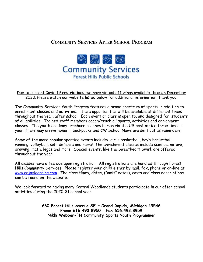## **COMMUNITY SERVICES AFTER SCHOOL PROGRAM**



#### Due to current Covid 19 restrictions, we have virtual offerings available through December 2020. Please watch our website listed below for additional information, thank you.

The Community Services Youth Program features a broad spectrum of sports in addition to enrichment classes and activities. These opportunities will be available at different times throughout the year, after school. Each event or class is open to, and designed for, students of all abilities. Trained staff members coach/teach all sports, activities and enrichment classes. The youth academy brochure reaches homes via the US post office three times a year, fliers may arrive home in backpacks and CW School News are sent out as reminders!

Some of the more popular sporting events include: girl's basketball, boy's basketball, running, volleyball, self-defense and more! The enrichment classes include science, nature, drawing, math, legos and more! Special events, like the Sweetheart Swirl, are offered throughout the year.

All classes have a fee due upon registration. All registrations are handled through Forest Hills Community Services. Please register your child either by mail, fax, phone or on-line at [www.enjoylearning.com.](http://www.enjoylearning.com/) The class times, dates, ("omit" dates), costs and class descriptions can be found on the website.

We look forward to having many Central Woodlands students participate in our after school activities during the 2020-21 school year.

> **660 Forest Hills Avenue SE ~ Grand Rapids, Michigan 49546 Phone 616.493.8950 Fax 616.493.8959 Nikki Webber-FH Community Sports Youth Programmer**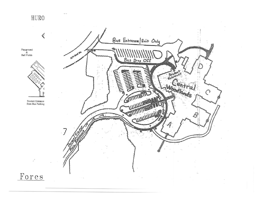